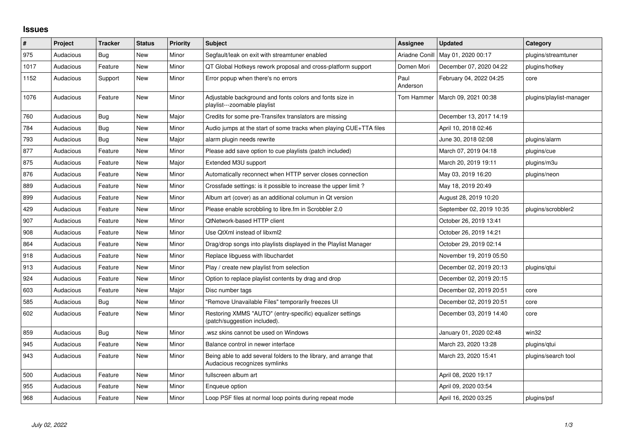## **Issues**

| #    | <b>Project</b> | <b>Tracker</b> | <b>Status</b> | <b>Priority</b> | <b>Subject</b>                                                                                      | <b>Assignee</b>  | Updated                  | Category                 |
|------|----------------|----------------|---------------|-----------------|-----------------------------------------------------------------------------------------------------|------------------|--------------------------|--------------------------|
| 975  | Audacious      | Bug            | <b>New</b>    | Minor           | Segfault/leak on exit with streamtuner enabled                                                      | Ariadne Conill   | May 01, 2020 00:17       | plugins/streamtuner      |
| 1017 | Audacious      | Feature        | <b>New</b>    | Minor           | QT Global Hotkeys rework proposal and cross-platform support                                        | Domen Mori       | December 07, 2020 04:22  | plugins/hotkey           |
| 1152 | Audacious      | Support        | New           | Minor           | Error popup when there's no errors                                                                  | Paul<br>Anderson | February 04, 2022 04:25  | core                     |
| 1076 | Audacious      | Feature        | New           | Minor           | Adjustable background and fonts colors and fonts size in<br>playlist---zoomable playlist            | Tom Hammer       | March 09, 2021 00:38     | plugins/playlist-manager |
| 760  | Audacious      | <b>Bug</b>     | New           | Major           | Credits for some pre-Transifex translators are missing                                              |                  | December 13, 2017 14:19  |                          |
| 784  | Audacious      | <b>Bug</b>     | <b>New</b>    | Minor           | Audio jumps at the start of some tracks when playing CUE+TTA files                                  |                  | April 10, 2018 02:46     |                          |
| 793  | Audacious      | <b>Bug</b>     | <b>New</b>    | Major           | alarm plugin needs rewrite                                                                          |                  | June 30, 2018 02:08      | plugins/alarm            |
| 877  | Audacious      | Feature        | New           | Minor           | Please add save option to cue playlists (patch included)                                            |                  | March 07, 2019 04:18     | plugins/cue              |
| 875  | Audacious      | Feature        | New           | Major           | Extended M3U support                                                                                |                  | March 20, 2019 19:11     | plugins/m3u              |
| 876  | Audacious      | Feature        | New           | Minor           | Automatically reconnect when HTTP server closes connection                                          |                  | May 03, 2019 16:20       | plugins/neon             |
| 889  | Audacious      | Feature        | <b>New</b>    | Minor           | Crossfade settings: is it possible to increase the upper limit?                                     |                  | May 18, 2019 20:49       |                          |
| 899  | Audacious      | Feature        | <b>New</b>    | Minor           | Album art (cover) as an additional columun in Qt version                                            |                  | August 28, 2019 10:20    |                          |
| 429  | Audacious      | Feature        | New           | Minor           | Please enable scrobbling to libre.fm in Scrobbler 2.0                                               |                  | September 02, 2019 10:35 | plugins/scrobbler2       |
| 907  | Audacious      | Feature        | <b>New</b>    | Minor           | <b>QtNetwork-based HTTP client</b>                                                                  |                  | October 26, 2019 13:41   |                          |
| 908  | Audacious      | Feature        | <b>New</b>    | Minor           | Use QtXml instead of libxml2                                                                        |                  | October 26, 2019 14:21   |                          |
| 864  | Audacious      | Feature        | <b>New</b>    | Minor           | Drag/drop songs into playlists displayed in the Playlist Manager                                    |                  | October 29, 2019 02:14   |                          |
| 918  | Audacious      | Feature        | <b>New</b>    | Minor           | Replace libguess with libuchardet                                                                   |                  | November 19, 2019 05:50  |                          |
| 913  | Audacious      | Feature        | <b>New</b>    | Minor           | Play / create new playlist from selection                                                           |                  | December 02, 2019 20:13  | plugins/qtui             |
| 924  | Audacious      | Feature        | <b>New</b>    | Minor           | Option to replace playlist contents by drag and drop                                                |                  | December 02, 2019 20:15  |                          |
| 603  | Audacious      | Feature        | <b>New</b>    | Major           | Disc number tags                                                                                    |                  | December 02, 2019 20:51  | core                     |
| 585  | Audacious      | Bug            | <b>New</b>    | Minor           | "Remove Unavailable Files" temporarily freezes UI                                                   |                  | December 02, 2019 20:51  | core                     |
| 602  | Audacious      | Feature        | <b>New</b>    | Minor           | Restoring XMMS "AUTO" (entry-specific) equalizer settings<br>(patch/suggestion included).           |                  | December 03, 2019 14:40  | core                     |
| 859  | Audacious      | Bug            | <b>New</b>    | Minor           | wsz skins cannot be used on Windows                                                                 |                  | January 01, 2020 02:48   | win32                    |
| 945  | Audacious      | Feature        | <b>New</b>    | Minor           | Balance control in newer interface                                                                  |                  | March 23, 2020 13:28     | plugins/qtui             |
| 943  | Audacious      | Feature        | New           | Minor           | Being able to add several folders to the library, and arrange that<br>Audacious recognizes symlinks |                  | March 23, 2020 15:41     | plugins/search tool      |
| 500  | Audacious      | Feature        | <b>New</b>    | Minor           | fullscreen album art                                                                                |                  | April 08, 2020 19:17     |                          |
| 955  | Audacious      | Feature        | New           | Minor           | Enqueue option                                                                                      |                  | April 09, 2020 03:54     |                          |
| 968  | Audacious      | Feature        | <b>New</b>    | Minor           | Loop PSF files at normal loop points during repeat mode                                             |                  | April 16, 2020 03:25     | plugins/psf              |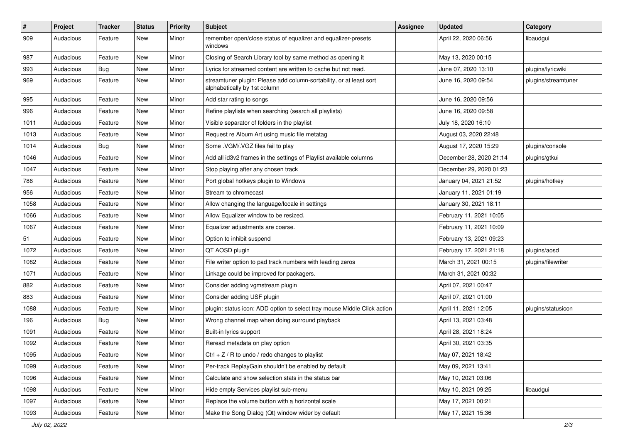| $\vert$ # | Project   | <b>Tracker</b> | <b>Status</b> | <b>Priority</b> | <b>Subject</b>                                                                                      | <b>Assignee</b> | <b>Updated</b>          | Category            |
|-----------|-----------|----------------|---------------|-----------------|-----------------------------------------------------------------------------------------------------|-----------------|-------------------------|---------------------|
| 909       | Audacious | Feature        | New           | Minor           | remember open/close status of equalizer and equalizer-presets<br>windows                            |                 | April 22, 2020 06:56    | libaudgui           |
| 987       | Audacious | Feature        | New           | Minor           | Closing of Search Library tool by same method as opening it                                         |                 | May 13, 2020 00:15      |                     |
| 993       | Audacious | Bug            | New           | Minor           | Lyrics for streamed content are written to cache but not read.                                      |                 | June 07, 2020 13:10     | plugins/lyricwiki   |
| 969       | Audacious | Feature        | New           | Minor           | streamtuner plugin: Please add column-sortability, or at least sort<br>alphabetically by 1st column |                 | June 16, 2020 09:54     | plugins/streamtuner |
| 995       | Audacious | Feature        | New           | Minor           | Add star rating to songs                                                                            |                 | June 16, 2020 09:56     |                     |
| 996       | Audacious | Feature        | New           | Minor           | Refine playlists when searching (search all playlists)                                              |                 | June 16, 2020 09:58     |                     |
| 1011      | Audacious | Feature        | New           | Minor           | Visible separator of folders in the playlist                                                        |                 | July 18, 2020 16:10     |                     |
| 1013      | Audacious | Feature        | New           | Minor           | Request re Album Art using music file metatag                                                       |                 | August 03, 2020 22:48   |                     |
| 1014      | Audacious | Bug            | New           | Minor           | Some .VGM/.VGZ files fail to play                                                                   |                 | August 17, 2020 15:29   | plugins/console     |
| 1046      | Audacious | Feature        | New           | Minor           | Add all id3v2 frames in the settings of Playlist available columns                                  |                 | December 28, 2020 21:14 | plugins/gtkui       |
| 1047      | Audacious | Feature        | New           | Minor           | Stop playing after any chosen track                                                                 |                 | December 29, 2020 01:23 |                     |
| 786       | Audacious | Feature        | New           | Minor           | Port global hotkeys plugin to Windows                                                               |                 | January 04, 2021 21:52  | plugins/hotkey      |
| 956       | Audacious | Feature        | New           | Minor           | Stream to chromecast                                                                                |                 | January 11, 2021 01:19  |                     |
| 1058      | Audacious | Feature        | New           | Minor           | Allow changing the language/locale in settings                                                      |                 | January 30, 2021 18:11  |                     |
| 1066      | Audacious | Feature        | New           | Minor           | Allow Equalizer window to be resized.                                                               |                 | February 11, 2021 10:05 |                     |
| 1067      | Audacious | Feature        | New           | Minor           | Equalizer adjustments are coarse.                                                                   |                 | February 11, 2021 10:09 |                     |
| 51        | Audacious | Feature        | New           | Minor           | Option to inhibit suspend                                                                           |                 | February 13, 2021 09:23 |                     |
| 1072      | Audacious | Feature        | New           | Minor           | QT AOSD plugin                                                                                      |                 | February 17, 2021 21:18 | plugins/aosd        |
| 1082      | Audacious | Feature        | New           | Minor           | File writer option to pad track numbers with leading zeros                                          |                 | March 31, 2021 00:15    | plugins/filewriter  |
| 1071      | Audacious | Feature        | New           | Minor           | Linkage could be improved for packagers.                                                            |                 | March 31, 2021 00:32    |                     |
| 882       | Audacious | Feature        | New           | Minor           | Consider adding vgmstream plugin                                                                    |                 | April 07, 2021 00:47    |                     |
| 883       | Audacious | Feature        | New           | Minor           | Consider adding USF plugin                                                                          |                 | April 07, 2021 01:00    |                     |
| 1088      | Audacious | Feature        | New           | Minor           | plugin: status icon: ADD option to select tray mouse Middle Click action                            |                 | April 11, 2021 12:05    | plugins/statusicon  |
| 196       | Audacious | Bug            | New           | Minor           | Wrong channel map when doing surround playback                                                      |                 | April 13, 2021 03:48    |                     |
| 1091      | Audacious | Feature        | New           | Minor           | Built-in lyrics support                                                                             |                 | April 28, 2021 18:24    |                     |
| 1092      | Audacious | Feature        | <b>New</b>    | Minor           | Reread metadata on play option                                                                      |                 | April 30, 2021 03:35    |                     |
| 1095      | Audacious | Feature        | New           | Minor           | Ctrl $+$ Z / R to undo / redo changes to playlist                                                   |                 | May 07, 2021 18:42      |                     |
| 1099      | Audacious | Feature        | New           | Minor           | Per-track ReplayGain shouldn't be enabled by default                                                |                 | May 09, 2021 13:41      |                     |
| 1096      | Audacious | Feature        | New           | Minor           | Calculate and show selection stats in the status bar                                                |                 | May 10, 2021 03:06      |                     |
| 1098      | Audacious | Feature        | New           | Minor           | Hide empty Services playlist sub-menu                                                               |                 | May 10, 2021 09:25      | libaudgui           |
| 1097      | Audacious | Feature        | New           | Minor           | Replace the volume button with a horizontal scale                                                   |                 | May 17, 2021 00:21      |                     |
| 1093      | Audacious | Feature        | New           | Minor           | Make the Song Dialog (Qt) window wider by default                                                   |                 | May 17, 2021 15:36      |                     |